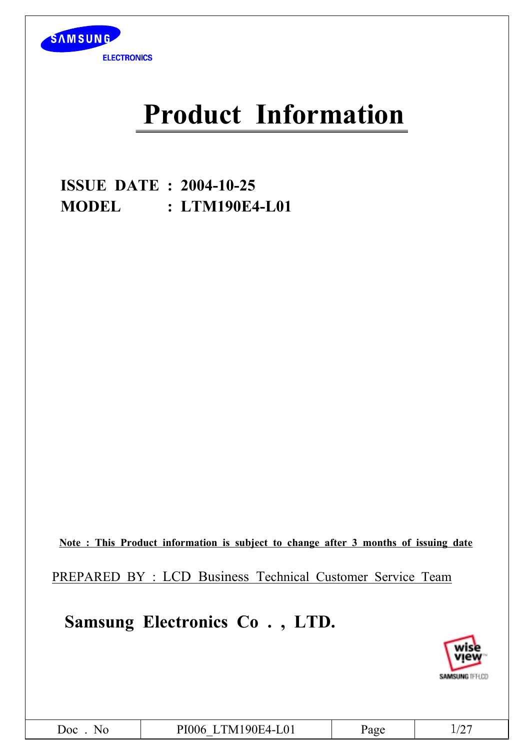

# **Product Information**

**ISSUE DATE : 2004-10-25 MODEL : LTM190E4-L01**

**Note : This Product information is subject to change after 3 months of issuing date**

PREPARED BY : LCD Business Technical Customer Service Team

**Samsung Electronics Co . , LTD.**

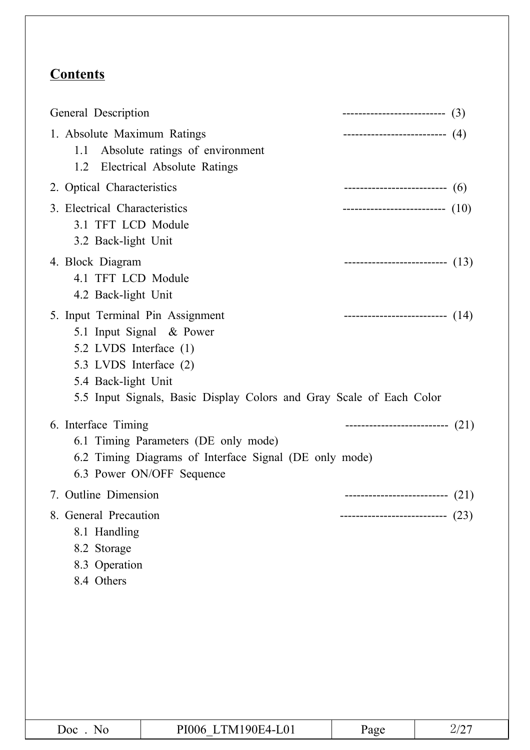# **Contents**

| General Description                                                                                         |                                                                                                                             | --------------------------- (3)      |      |
|-------------------------------------------------------------------------------------------------------------|-----------------------------------------------------------------------------------------------------------------------------|--------------------------------------|------|
| 1. Absolute Maximum Ratings<br>1.2                                                                          | 1.1 Absolute ratings of environment<br>Electrical Absolute Ratings                                                          | ------------------------------ $(4)$ |      |
| 2. Optical Characteristics                                                                                  |                                                                                                                             | ------------------------------- (6)  |      |
| 3. Electrical Characteristics<br>3.1 TFT LCD Module<br>3.2 Back-light Unit                                  |                                                                                                                             | --------------------------- $(10)$   |      |
| 4. Block Diagram<br>4.1 TFT LCD Module<br>4.2 Back-light Unit                                               |                                                                                                                             | ---------------------------- $(13)$  |      |
| 5. Input Terminal Pin Assignment<br>5.2 LVDS Interface (1)<br>5.3 LVDS Interface (2)<br>5.4 Back-light Unit | 5.1 Input Signal & Power<br>5.5 Input Signals, Basic Display Colors and Gray Scale of Each Color                            | ---------------------------- $(14)$  |      |
| 6. Interface Timing                                                                                         | 6.1 Timing Parameters (DE only mode)<br>6.2 Timing Diagrams of Interface Signal (DE only mode)<br>6.3 Power ON/OFF Sequence | ---------------------------- $(21)$  |      |
| 7. Outline Dimension                                                                                        |                                                                                                                             | --------------------------(21)       |      |
| 8. General Precaution<br>8.1 Handling<br>8.2 Storage<br>8.3 Operation<br>8.4 Others                         |                                                                                                                             | ---------------------------          | (23) |
| Doc. No                                                                                                     | PI006 LTM190E4-L01                                                                                                          | Page                                 | 2/27 |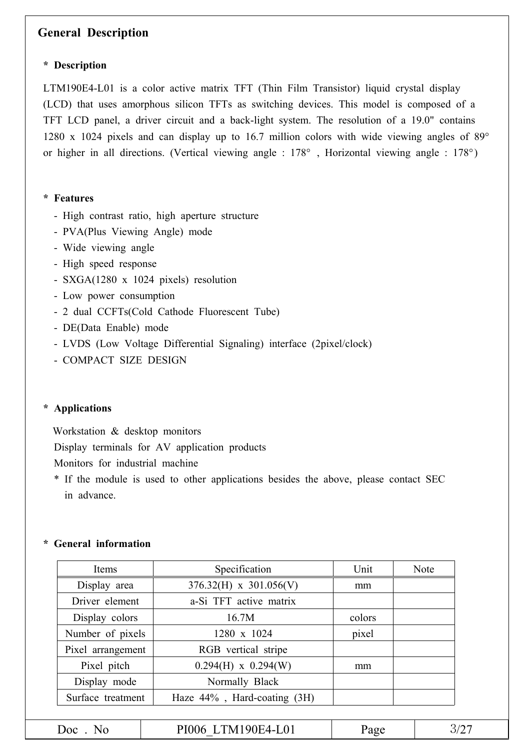# **General Description**

#### **\* Description**

LTM190E4-L01 is a color active matrix TFT (Thin Film Transistor) liquid crystal display (LCD) that uses amorphous silicon TFTs as switching devices. This model is composed of a TFT LCD panel, a driver circuit and a back-light system. The resolution of a 19.0" contains 1280 x 1024 pixels and can display up to 16.7 million colors with wide viewing angles of 89° or higher in all directions. (Vertical viewing angle : 178° , Horizontal viewing angle : 178°)

#### **\* Features**

- High contrast ratio, high aperture structure
- PVA(Plus Viewing Angle) mode
- Wide viewing angle
- High speed response
- SXGA(1280 x 1024 pixels) resolution
- Low power consumption
- 2 dual CCFTs(Cold Cathode Fluorescent Tube)
- DE(Data Enable) mode
- LVDS (Low Voltage Differential Signaling) interface (2pixel/clock)
- COMPACT SIZE DESIGN

#### **\* Applications**

Workstation & desktop monitors Display terminals for AV application products Monitors for industrial machine

\* If the module is used to other applications besides the above, please contact SEC in advance.

#### **\* General information**

| Items             | Specification               | Unit   | Note |
|-------------------|-----------------------------|--------|------|
| Display area      | $376.32(H)$ x $301.056(V)$  | mm     |      |
| Driver element    | a-Si TFT active matrix      |        |      |
| Display colors    | 16.7M                       | colors |      |
| Number of pixels  | 1280 x 1024                 | pixel  |      |
| Pixel arrangement | RGB vertical stripe         |        |      |
| Pixel pitch       | $0.294(H)$ x $0.294(W)$     | mm     |      |
| Display mode      | Normally Black              |        |      |
| Surface treatment | Haze 44%, Hard-coating (3H) |        |      |
|                   |                             |        |      |
| $Doc$ . No        | PI006 LTM190E4-L01          | Page   | 3/27 |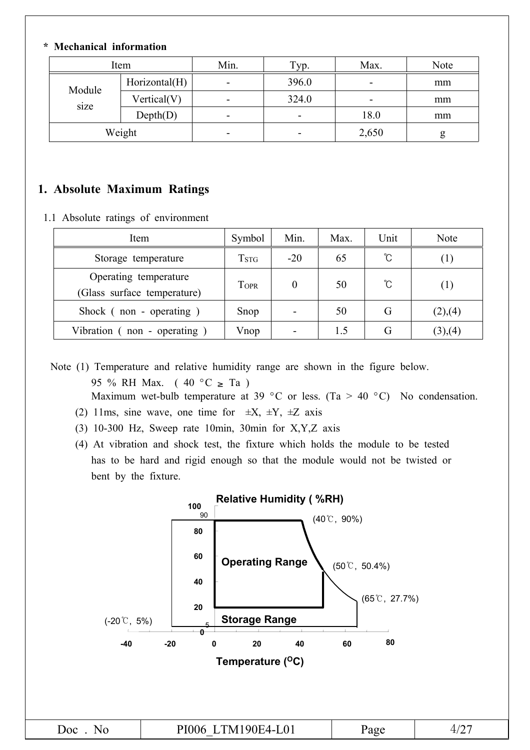#### **\* Mechanical information**

| Item   |               | Min. | Typ.                     | Max.  | Note |
|--------|---------------|------|--------------------------|-------|------|
| Module | Horizontal(H) | -    | 396.0                    | -     | mm   |
|        | Vertical(V)   | -    | 324.0                    | -     | mm   |
| size   | Depth(D)      | -    | ۰                        | 18.0  | mm   |
|        | Weight        | -    | $\overline{\phantom{a}}$ | 2,650 | g    |

#### **1. Absolute Maximum Ratings**

1.1 Absolute ratings of environment

| Item                                                 | Symbol                          | Min.  | Max. | Unit | Note          |
|------------------------------------------------------|---------------------------------|-------|------|------|---------------|
| Storage temperature                                  | $\operatorname{T}_{\text{STG}}$ | $-20$ | 65   | °C   | (1)           |
| Operating temperature<br>(Glass surface temperature) | TOPR                            | 0     | 50   | °C   | (1)           |
| Shock (non - operating)                              | Snop                            |       | 50   | G    | (2),(4)       |
| Vibration $($ non - operating $)$                    | Vnop                            |       | 1.5  | G    | $(3)$ , $(4)$ |

Note (1) Temperature and relative humidity range are shown in the figure below. 95 % RH Max. (40 °C  $\geq$  Ta) Maximum wet-bulb temperature at 39 °C or less. (Ta > 40 °C) No condensation.

- (2) 11ms, sine wave, one time for  $\pm X$ ,  $\pm Y$ ,  $\pm Z$  axis
- (3) 10-300 Hz, Sweep rate 10min, 30min for X,Y,Z axis
- (4) At vibration and shock test, the fixture which holds the module to be tested has to be hard and rigid enough so that the module would not be twisted or bent by the fixture.

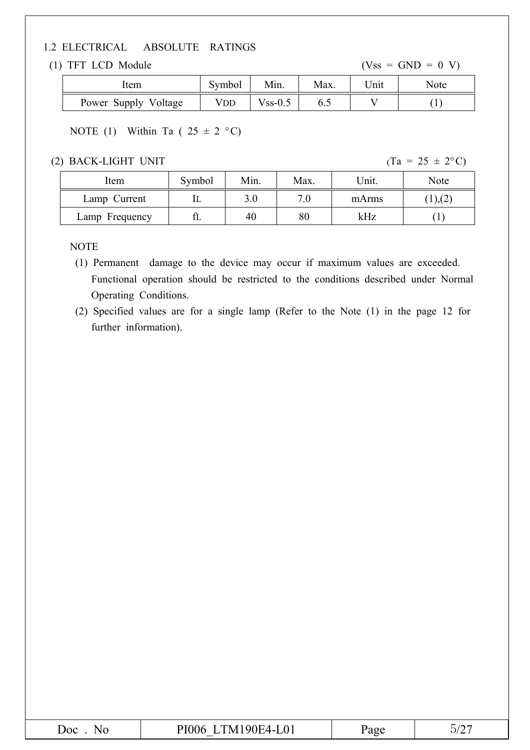#### 1.2 ELECTRICAL ABSOLUTE RATINGS

(1) TFT LCD Module  $(Vss = GND = 0 V)$ 

| Item                 | Symbol | Min.          | Max. | 'Jnit | Note         |
|----------------------|--------|---------------|------|-------|--------------|
| Power Supply Voltage | VDD    | $V$ ss- $0.5$ |      |       | $\mathbf{I}$ |

NOTE (1) Within Ta (  $25 \pm 2 \degree C$ )

#### (2) BACK-LIGHT UNIT  $(Ta = 25 \pm 2^{\circ}C)$

| Item           | Symbol | Min. | Max. | Unit. | Note         |
|----------------|--------|------|------|-------|--------------|
| Lamp Current   |        | 3.0  | 7.0  | mArms | $1)$ , $(2)$ |
| Lamp Frequency |        | 40   | 80   | kHz   |              |

#### NOTE

(1) Permanent damage to the device may occur if maximum values are exceeded. Functional operation should be restricted to the conditions described under Normal Operating Conditions.

(2) Specified values are for a single lamp (Refer to the Note (1) in the page 12 for further information).

|--|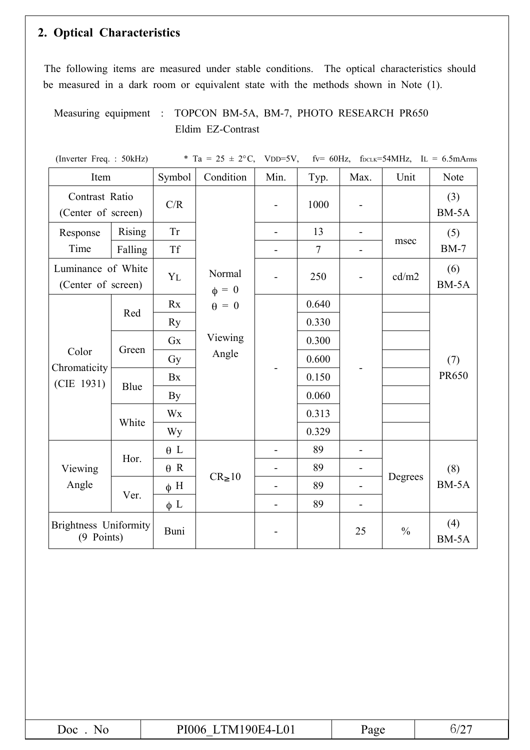# **2. Optical Characteristics**

The following items are measured under stable conditions. The optical characteristics should be measured in a dark room or equivalent state with the methods shown in Note (1).

Measuring equipment : TOPCON BM-5A, BM-7, PHOTO RESEARCH PR650 Eldim EZ-Contrast

| (Inverter Freq.: 50kHz)                    |               |            | * Ta = 25 $\pm$ 2°C, VDD=5V, |       |                |                              |               | $fv = 60 Hz$ , $f_{DCLK} = 54 MHz$ , $IL = 6.5 mA$ rms |  |  |
|--------------------------------------------|---------------|------------|------------------------------|-------|----------------|------------------------------|---------------|--------------------------------------------------------|--|--|
| Item                                       |               | Symbol     | Condition                    | Min.  | Typ.           | Max.                         | Unit          | Note                                                   |  |  |
| Contrast Ratio<br>(Center of screen)       |               | C/R        |                              |       | 1000           |                              |               | (3)<br>BM-5A                                           |  |  |
| Response                                   | <b>Rising</b> | <b>Tr</b>  |                              |       | 13             | $\overline{\phantom{a}}$     |               | (5)                                                    |  |  |
| Time                                       | Falling       | <b>Tf</b>  |                              |       | $\overline{7}$ |                              | msec          | <b>BM-7</b>                                            |  |  |
| Luminance of White<br>(Center of screen)   |               | YL         | Normal<br>$\phi = 0$         |       | 250            |                              | cd/m2         | (6)<br>BM-5A                                           |  |  |
|                                            | Red           | Rx         | $\theta = 0$                 |       | 0.640          |                              |               |                                                        |  |  |
|                                            |               | Ry         |                              |       | 0.330          |                              |               |                                                        |  |  |
| Green<br>Color<br>Chromaticity             | Gx            | Viewing    |                              | 0.300 |                |                              |               |                                                        |  |  |
|                                            | Gy            |            |                              | Angle |                |                              |               | 0.600                                                  |  |  |
| (CIE 1931)                                 | Blue          | Bx         |                              | 0.150 |                |                              | <b>PR650</b>  |                                                        |  |  |
|                                            |               | By         |                              |       | 0.060          |                              |               |                                                        |  |  |
|                                            |               | Wx         |                              |       | 0.313          |                              |               |                                                        |  |  |
| White                                      |               | Wy         |                              |       | 0.329          |                              |               |                                                        |  |  |
|                                            |               | $\theta$ L |                              |       | 89             | $\qquad \qquad \blacksquare$ |               |                                                        |  |  |
| Viewing                                    | Hor.          | $\theta$ R |                              |       | 89             |                              | Degrees       | (8)                                                    |  |  |
| Angle                                      |               | $\phi$ H   | $CR_{\geq}10$                |       | 89             |                              |               | BM-5A                                                  |  |  |
|                                            | Ver.          | $\phi$ L   |                              |       | 89             |                              |               |                                                        |  |  |
| <b>Brightness</b> Uniformity<br>(9 Points) |               | Buni       |                              |       |                | 25                           | $\frac{0}{0}$ | (4)<br>BM-5A                                           |  |  |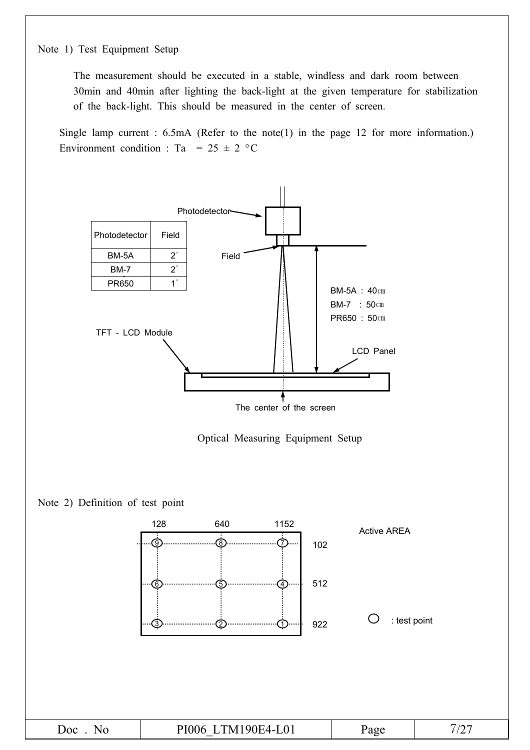Note 1) Test Equipment Setup

The measurement should be executed in a stable, windless and dark room between 30min and 40min after lighting the back-light at the given temperature for stabilization of the back-light. This should be measured in the center of screen.

Single lamp current : 6.5mA (Refer to the note(1) in the page 12 for more information.) Environment condition : Ta =  $25 \pm 2$  °C

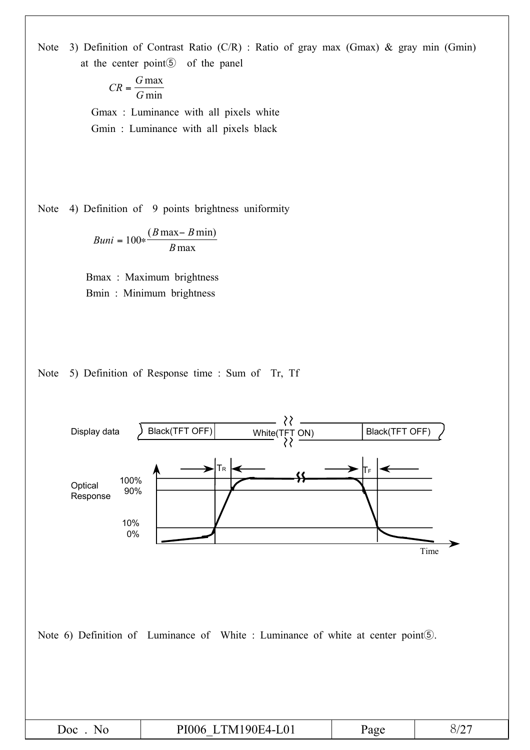Note 3) Definition of Contrast Ratio (C/R) : Ratio of gray max (Gmax) & gray min (Gmin) at the center point  $\delta$  of the panel

$$
CR = \frac{G \max}{G \min}
$$

Gmax : Luminance with all pixels white Gmin : Luminance with all pixels black

Note 4) Definition of 9 points brightness uniformity

$$
Buni = 100 * \frac{(B \max - B \min)}{B \max}
$$

Bmax : Maximum brightness Bmin : Minimum brightness

Note 5) Definition of Response time : Sum of Tr, Tf

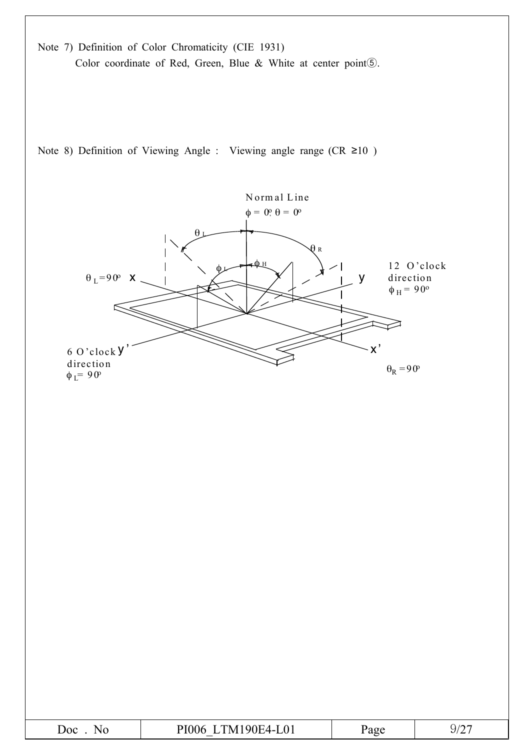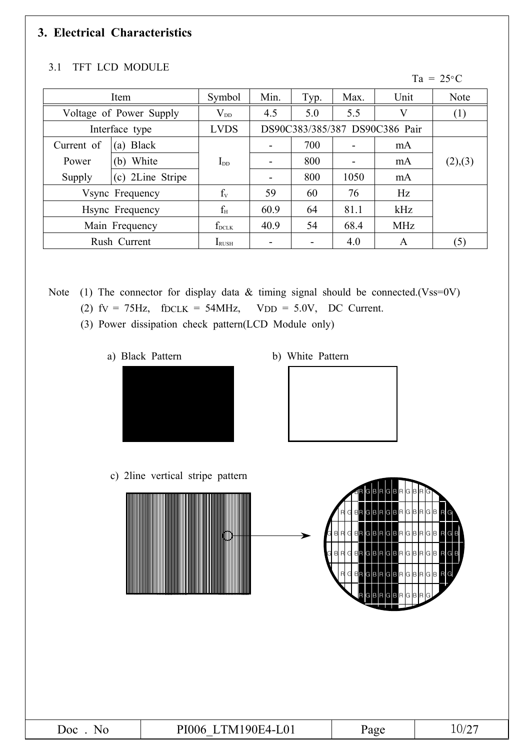# **3. Electrical Characteristics**

#### Item Symbol Min. Typ. Max. Unit Note Voltage of Power Supply  $V_{DD}$  4.5 5.0 5.5 V (1) Interface type | LVDS | DS90C383/385/387 DS90C386 Pair Current of Power Supply (a) Black  $I_{DD}$ - | 700 | - | mA (b) White  $I_{\text{DD}}$  - 800 - mA (2),(3) (c) 2Line Stripe  $\vert$  -  $\vert$  800  $\vert$  1050  $\vert$  mA Vsync Frequency  $f_v$   $f_v$  59 60 76 Hz Hsync Frequency  $f_H$  60.9 64 81.1 kHz Main Frequency  $f_{DCLK}$  40.9 54 68.4 MHz Rush Current  $I_{\text{RUSH}}$   $4.0$   $A$   $(5)$

#### 3.1 TFT LCD MODULE

Note (1) The connector for display data  $&$  timing signal should be connected.(Vss=0V)

- (2)  $fV = 75Hz$ ,  $fDCLK = 54MHz$ ,  $VDD = 5.0V$ , DC Current.
- (3) Power dissipation check pattern(LCD Module only)
	-



a) Black Pattern b) White Pattern



 $Ta = 25^{\circ}C$ 

\*c) 2line Vertical stripe pattern c) 2line vertical stripe pattern

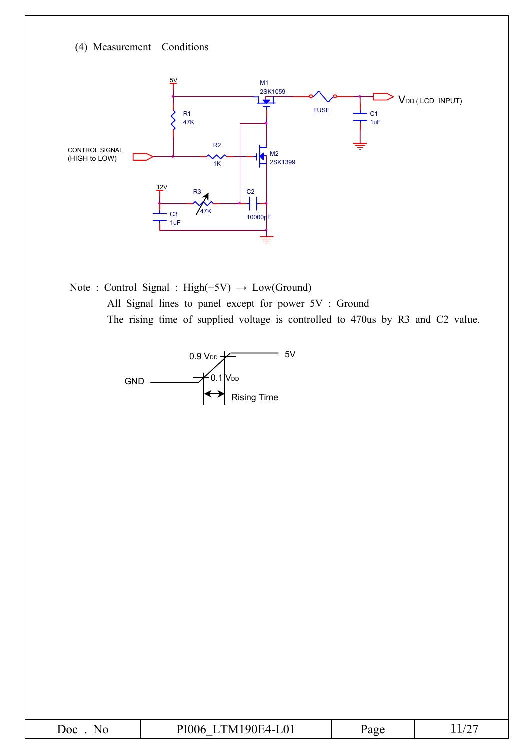(4) Measurement Conditions



Note : Control Signal : High(+5V)  $\rightarrow$  Low(Ground) All Signal lines to panel except for power 5V : Ground The rising time of supplied voltage is controlled to 470us by R3 and C2 value.



| Doc<br>NO | TM190E4-L01<br>P1006 | age | ∸ |
|-----------|----------------------|-----|---|
|-----------|----------------------|-----|---|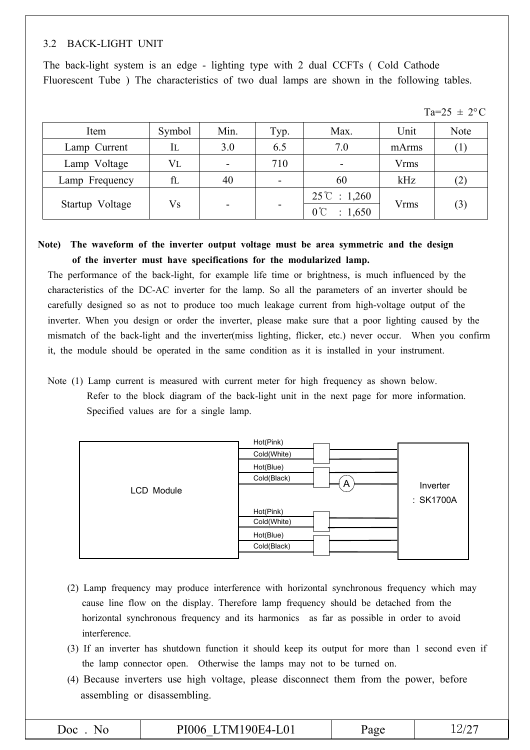#### 3.2 BACK-LIGHT UNIT

The back-light system is an edge - lighting type with 2 dual CCFTs ( Cold Cathode Fluorescent Tube ) The characteristics of two dual lamps are shown in the following tables.

| . . | $\bigcap$ $\bigcap$ | ۰. |
|-----|---------------------|----|
|     |                     |    |

| Item            | Symbol         | Min. | Typ. | Max.                                              | Unit  | Note |
|-----------------|----------------|------|------|---------------------------------------------------|-------|------|
| Lamp Current    | IL             | 3.0  | 6.5  | 7.0                                               | mArms | (1)  |
| Lamp Voltage    | $\rm V_{L}$    | -    | 710  | -                                                 | Vrms  |      |
| Lamp Frequency  | fl             | 40   |      | 60                                                | kHz   | (2)  |
| Startup Voltage | $\rm{V}\rm{s}$ |      |      | $25^{\circ}$ C: 1,260<br>$0^{\circ}$ C<br>: 1,650 | Vrms  | (3)  |

#### **Note) The waveform of the inverter output voltage must be area symmetric and the design of the inverter must have specifications for the modularized lamp.**

The performance of the back-light, for example life time or brightness, is much influenced by the characteristics of the DC-AC inverter for the lamp. So all the parameters of an inverter should be carefully designed so as not to produce too much leakage current from high-voltage output of the inverter. When you design or order the inverter, please make sure that a poor lighting caused by the mismatch of the back-light and the inverter(miss lighting, flicker, etc.) never occur. When you confirm it, the module should be operated in the same condition as it is installed in your instrument.

Note (1) Lamp current is measured with current meter for high frequency as shown below. Refer to the block diagram of the back-light unit in the next page for more information. Specified values are for a single lamp.



- (2) Lamp frequency may produce interference with horizontal synchronous frequency which may cause line flow on the display. Therefore lamp frequency should be detached from the horizontal synchronous frequency and its harmonics as far as possible in order to avoid interference.
- (3) If an inverter has shutdown function it should keep its output for more than 1 second even if the lamp connector open. Otherwise the lamps may not to be turned on.
- (4) Because inverters use high voltage, please disconnect them from the power, before assembling or disassembling.

| 'YOIF4-1<br>'NI<br>юc<br>. س<br>$\mathbf{U}$<br>______ | 'age | -- |
|--------------------------------------------------------|------|----|
|--------------------------------------------------------|------|----|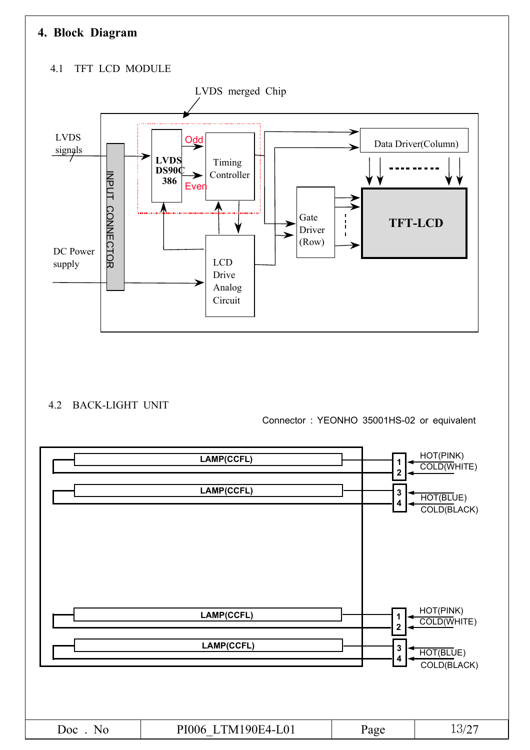# **4. Block Diagram**

#### 4.1 TFT LCD MODULE



#### 4.2 BACK-LIGHT UNIT

Connector : YEONHO 35001HS-02 or equivalent

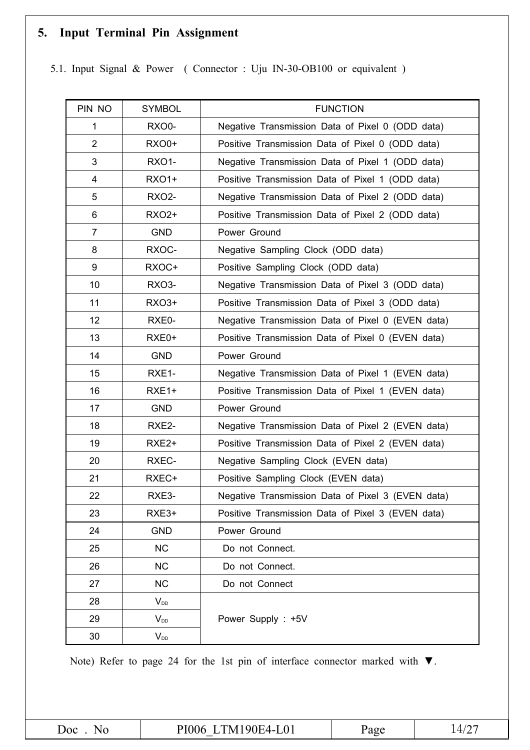# **5. Input Terminal Pin Assignment**

5.1. Input Signal & Power ( Connector : Uju IN-30-OB100 or equivalent )

| PIN NO          | <b>SYMBOL</b>              | <b>FUNCTION</b>                                   |
|-----------------|----------------------------|---------------------------------------------------|
| 1               | <b>RXO0-</b>               | Negative Transmission Data of Pixel 0 (ODD data)  |
| $\overline{2}$  | <b>RXO0+</b>               | Positive Transmission Data of Pixel 0 (ODD data)  |
| 3               | <b>RXO1-</b>               | Negative Transmission Data of Pixel 1 (ODD data)  |
| 4               | <b>RXO1+</b>               | Positive Transmission Data of Pixel 1 (ODD data)  |
| 5               | <b>RXO2-</b>               | Negative Transmission Data of Pixel 2 (ODD data)  |
| 6               | <b>RXO2+</b>               | Positive Transmission Data of Pixel 2 (ODD data)  |
| $\overline{7}$  | <b>GND</b>                 | Power Ground                                      |
| 8               | RXOC-                      | Negative Sampling Clock (ODD data)                |
| 9               | RXOC+                      | Positive Sampling Clock (ODD data)                |
| 10              | RXO3-                      | Negative Transmission Data of Pixel 3 (ODD data)  |
| 11              | $RXO3+$                    | Positive Transmission Data of Pixel 3 (ODD data)  |
| 12 <sup>2</sup> | RXE0-                      | Negative Transmission Data of Pixel 0 (EVEN data) |
| 13              | RXE0+                      | Positive Transmission Data of Pixel 0 (EVEN data) |
| 14              | <b>GND</b>                 | Power Ground                                      |
| 15              | RXE1-                      | Negative Transmission Data of Pixel 1 (EVEN data) |
| 16              | RXE1+                      | Positive Transmission Data of Pixel 1 (EVEN data) |
| 17              | <b>GND</b>                 | Power Ground                                      |
| 18              | RXE2-                      | Negative Transmission Data of Pixel 2 (EVEN data) |
| 19              | RXE <sub>2+</sub>          | Positive Transmission Data of Pixel 2 (EVEN data) |
| 20              | RXEC-                      | Negative Sampling Clock (EVEN data)               |
| 21              | RXEC+                      | Positive Sampling Clock (EVEN data)               |
| 22              | RXE3-                      | Negative Transmission Data of Pixel 3 (EVEN data) |
| 23              | RXE3+                      | Positive Transmission Data of Pixel 3 (EVEN data) |
| 24              | <b>GND</b>                 | Power Ground                                      |
| 25              | <b>NC</b>                  | Do not Connect.                                   |
| 26              | <b>NC</b>                  | Do not Connect.                                   |
| 27              | <b>NC</b>                  | Do not Connect                                    |
| 28              | $\mathsf{V}_{\texttt{DD}}$ |                                                   |
| 29              | $\mathsf{V}_{\texttt{DD}}$ | Power Supply : +5V                                |
| 30              | $V_{DD}$                   |                                                   |

Note) Refer to page 24 for the 1st pin of interface connector marked with ▼.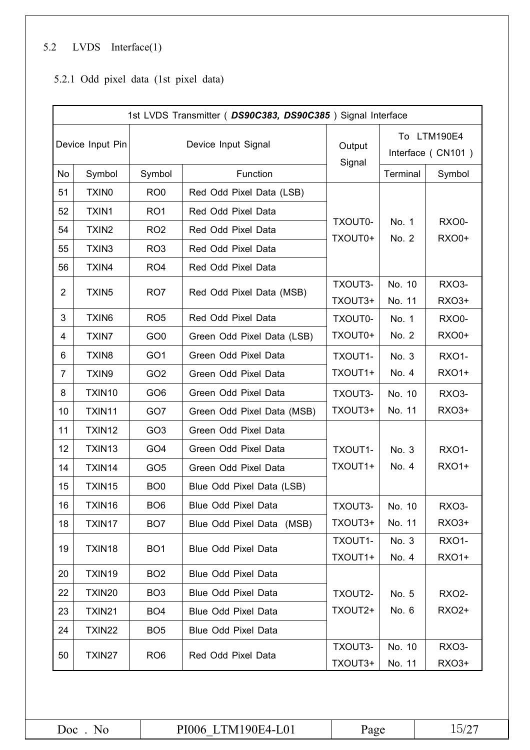# 5.2 LVDS Interface(1)

# 5.2.1 Odd pixel data (1st pixel data)

|                | 1st LVDS Transmitter (DS90C383, DS90C385) Signal Interface |                 |                            |                    |                                  |                              |  |  |  |  |  |  |
|----------------|------------------------------------------------------------|-----------------|----------------------------|--------------------|----------------------------------|------------------------------|--|--|--|--|--|--|
|                | Device Input Pin                                           |                 | Device Input Signal        | Output<br>Signal   | To LTM190E4<br>Interface (CN101) |                              |  |  |  |  |  |  |
| No             | Symbol                                                     | Symbol          | Function                   |                    | Terminal                         | Symbol                       |  |  |  |  |  |  |
| 51             | TXIN <sub>0</sub>                                          | RO <sub>0</sub> | Red Odd Pixel Data (LSB)   |                    |                                  |                              |  |  |  |  |  |  |
| 52             | TXIN1                                                      | RO <sub>1</sub> | Red Odd Pixel Data         |                    |                                  |                              |  |  |  |  |  |  |
| 54             | TXIN <sub>2</sub>                                          | RO <sub>2</sub> | Red Odd Pixel Data         | TXOUT0-<br>TXOUT0+ | No. 1<br>No. 2                   | <b>RXO0-</b><br><b>RXO0+</b> |  |  |  |  |  |  |
| 55             | TXIN3                                                      | RO <sub>3</sub> | Red Odd Pixel Data         |                    |                                  |                              |  |  |  |  |  |  |
| 56             | TXIN4                                                      | RO <sub>4</sub> | Red Odd Pixel Data         |                    |                                  |                              |  |  |  |  |  |  |
| $\overline{2}$ | TXIN <sub>5</sub>                                          | RO <sub>7</sub> | Red Odd Pixel Data (MSB)   | TXOUT3-            | No. 10                           | RXO3-                        |  |  |  |  |  |  |
|                |                                                            |                 |                            | TXOUT3+            | No. 11                           | RX03+                        |  |  |  |  |  |  |
| 3              | TXIN <sub>6</sub>                                          | RO <sub>5</sub> | Red Odd Pixel Data         | TXOUT0-            | No. 1                            | <b>RXO0-</b>                 |  |  |  |  |  |  |
| 4              | <b>TXIN7</b>                                               | GO <sub>0</sub> | Green Odd Pixel Data (LSB) | TXOUT0+            | No. 2                            | <b>RXO0+</b>                 |  |  |  |  |  |  |
| 6              | TXIN8                                                      | GO <sub>1</sub> | Green Odd Pixel Data       | TXOUT1-            | No. 3                            | <b>RXO1-</b>                 |  |  |  |  |  |  |
| $\overline{7}$ | TXIN9                                                      | GO <sub>2</sub> | Green Odd Pixel Data       | TXOUT1+            | No. 4                            | <b>RXO1+</b>                 |  |  |  |  |  |  |
| 8              | TXIN10                                                     | GO <sub>6</sub> | Green Odd Pixel Data       | TXOUT3-            | No. 10                           | <b>RXO3-</b>                 |  |  |  |  |  |  |
| 10             | TXIN11                                                     | GO7             | Green Odd Pixel Data (MSB) | TXOUT3+            | No. 11                           | RX03+                        |  |  |  |  |  |  |
| 11             | TXIN12                                                     | GO <sub>3</sub> | Green Odd Pixel Data       |                    |                                  |                              |  |  |  |  |  |  |
| 12             | TXIN13                                                     | GO <sub>4</sub> | Green Odd Pixel Data       | TXOUT1-            | No. 3                            | <b>RXO1-</b>                 |  |  |  |  |  |  |
| 14             | TXIN14                                                     | GO <sub>5</sub> | Green Odd Pixel Data       | TXOUT1+            | No. 4                            | <b>RXO1+</b>                 |  |  |  |  |  |  |
| 15             | TXIN15                                                     | BO <sub>0</sub> | Blue Odd Pixel Data (LSB)  |                    |                                  |                              |  |  |  |  |  |  |
| 16             | TXIN16                                                     | BO6             | Blue Odd Pixel Data        | TXOUT3-            | No. 10                           | RXO3-                        |  |  |  |  |  |  |
| 18             | TXIN17                                                     | BO <sub>7</sub> | Blue Odd Pixel Data (MSB)  | TXOUT3+            | No. 11                           | RX03+                        |  |  |  |  |  |  |
| 19             | TXIN18                                                     | BO <sub>1</sub> | Blue Odd Pixel Data        | TXOUT1-            | No. 3                            | <b>RXO1-</b>                 |  |  |  |  |  |  |
|                |                                                            |                 |                            | TXOUT1+            | No. 4                            | <b>RXO1+</b>                 |  |  |  |  |  |  |
| 20             | TXIN19                                                     | BO <sub>2</sub> | Blue Odd Pixel Data        |                    |                                  |                              |  |  |  |  |  |  |
| 22             | TXIN20                                                     | BO <sub>3</sub> | Blue Odd Pixel Data        | TXOUT2-            | No. 5                            | <b>RXO2-</b>                 |  |  |  |  |  |  |
| 23             | <b>TXIN21</b>                                              | BO <sub>4</sub> | Blue Odd Pixel Data        | TXOUT2+            | No. 6                            | <b>RXO2+</b>                 |  |  |  |  |  |  |
| 24             | <b>TXIN22</b>                                              | BO <sub>5</sub> | Blue Odd Pixel Data        |                    |                                  |                              |  |  |  |  |  |  |
| TXIN27<br>50   |                                                            | RO <sub>6</sub> | Red Odd Pixel Data         | TXOUT3-            | No. 10                           | RXO3-                        |  |  |  |  |  |  |
|                |                                                            |                 |                            | TXOUT3+            | No. 11                           | RX03+                        |  |  |  |  |  |  |

| PI006 LTM190E4-L01<br>Doc<br>Page | 15/27 |
|-----------------------------------|-------|
|-----------------------------------|-------|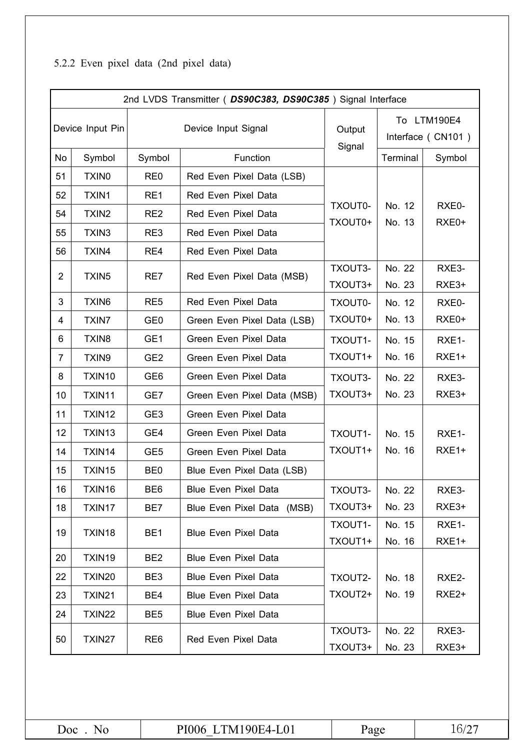# 5.2.2 Even pixel data (2nd pixel data)

|                | 2nd LVDS Transmitter (DS90C383, DS90C385) Signal Interface |                 |                             |                    |                                  |                   |  |  |  |  |  |
|----------------|------------------------------------------------------------|-----------------|-----------------------------|--------------------|----------------------------------|-------------------|--|--|--|--|--|
|                | Device Input Pin                                           |                 | Device Input Signal         | Output<br>Signal   | To LTM190E4<br>Interface (CN101) |                   |  |  |  |  |  |
| No             | Symbol                                                     | Symbol          | Function                    |                    | Terminal                         | Symbol            |  |  |  |  |  |
| 51             | <b>TXIN0</b>                                               | RE <sub>0</sub> | Red Even Pixel Data (LSB)   |                    |                                  |                   |  |  |  |  |  |
| 52             | TXIN1                                                      | RE1             | Red Even Pixel Data         |                    |                                  |                   |  |  |  |  |  |
| 54             | TXIN <sub>2</sub>                                          | RE <sub>2</sub> | Red Even Pixel Data         | TXOUT0-<br>TXOUT0+ | No. 12<br>No. 13                 | RXE0-<br>RXE0+    |  |  |  |  |  |
| 55             | TXIN3                                                      | RE3             | Red Even Pixel Data         |                    |                                  |                   |  |  |  |  |  |
| 56             | TXIN4                                                      | RE4             | Red Even Pixel Data         |                    |                                  |                   |  |  |  |  |  |
| $\overline{2}$ | TXIN <sub>5</sub>                                          | RE7             | Red Even Pixel Data (MSB)   | TXOUT3-            | No. 22                           | RXE3-             |  |  |  |  |  |
|                |                                                            |                 |                             | TXOUT3+            | No. 23                           | RXE3+             |  |  |  |  |  |
| 3              | TXIN6                                                      | RE <sub>5</sub> | Red Even Pixel Data         | TXOUT0-            | No. 12                           | RXE0-             |  |  |  |  |  |
| 4              | <b>TXIN7</b>                                               | GE <sub>0</sub> | Green Even Pixel Data (LSB) | TXOUT0+            | No. 13                           | RXE0+             |  |  |  |  |  |
| 6              | TXIN8                                                      | GE1             | Green Even Pixel Data       | TXOUT1-            | No. 15                           | RXE1-             |  |  |  |  |  |
| $\overline{7}$ | TXIN9                                                      | GE <sub>2</sub> | Green Even Pixel Data       | TXOUT1+            | No. 16                           | RXE <sub>1+</sub> |  |  |  |  |  |
| 8              | TXIN10                                                     | GE <sub>6</sub> | Green Even Pixel Data       | TXOUT3-            | No. 22                           | RXE3-             |  |  |  |  |  |
| 10             | TXIN11                                                     | GE7             | Green Even Pixel Data (MSB) | TXOUT3+            | No. 23                           | RXE3+             |  |  |  |  |  |
| 11             | TXIN12                                                     | GE <sub>3</sub> | Green Even Pixel Data       |                    |                                  |                   |  |  |  |  |  |
| 12             | TXIN13                                                     | GE4             | Green Even Pixel Data       | TXOUT1-            | No. 15                           | RXE1-             |  |  |  |  |  |
| 14             | TXIN14                                                     | GE <sub>5</sub> | Green Even Pixel Data       | TXOUT1+            | No. 16                           | RXE1+             |  |  |  |  |  |
| 15             | TXIN15                                                     | BE <sub>0</sub> | Blue Even Pixel Data (LSB)  |                    |                                  |                   |  |  |  |  |  |
| 16             | TXIN16                                                     | BE <sub>6</sub> | <b>Blue Even Pixel Data</b> | TXOUT3-            | No. 22                           | RXE3-             |  |  |  |  |  |
| 18             | TXIN17                                                     | BE7             | Blue Even Pixel Data (MSB)  | TXOUT3+            | No. 23                           | RXE3+             |  |  |  |  |  |
| 19             | TXIN18                                                     | BE <sub>1</sub> | <b>Blue Even Pixel Data</b> | TXOUT1-            | No. 15                           | RXE1-             |  |  |  |  |  |
|                |                                                            |                 |                             | TXOUT1+            | No. 16                           | RXE1+             |  |  |  |  |  |
| 20             | TXIN19                                                     | BE <sub>2</sub> | <b>Blue Even Pixel Data</b> |                    |                                  |                   |  |  |  |  |  |
| 22             | TXIN20                                                     | BE3             | <b>Blue Even Pixel Data</b> | TXOUT2-            | No. 18                           | RXE2-             |  |  |  |  |  |
| 23             | TXIN21                                                     | BE4             | <b>Blue Even Pixel Data</b> | TXOUT2+            | No. 19                           | RXE <sub>2+</sub> |  |  |  |  |  |
| 24             | TXIN22                                                     | BE <sub>5</sub> | <b>Blue Even Pixel Data</b> |                    |                                  |                   |  |  |  |  |  |
| 50<br>TXIN27   |                                                            | RE <sub>6</sub> | Red Even Pixel Data         | TXOUT3-            | No. 22                           | RXE3-             |  |  |  |  |  |
|                |                                                            |                 |                             | TXOUT3+            | No. 23                           | RXE3+             |  |  |  |  |  |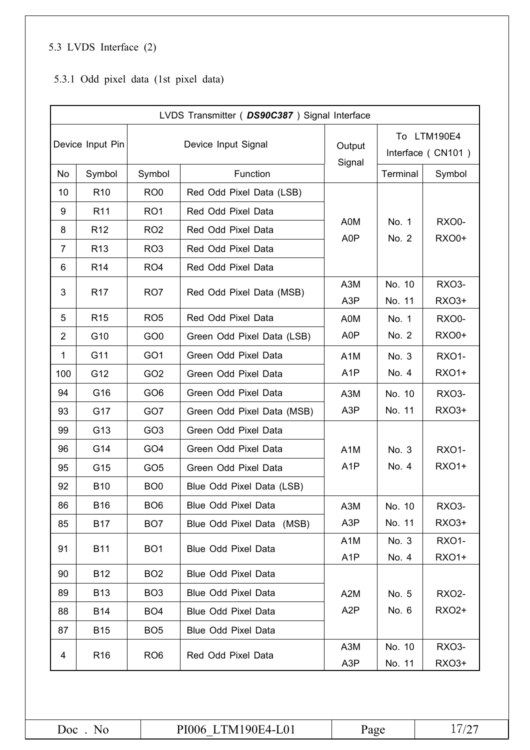# 5.3 LVDS Interface (2)

# 5.3.1 Odd pixel data (1st pixel data)

|                      | LVDS Transmitter ( DS90C387 ) Signal Interface |                 |                            |                         |                                  |                              |  |  |  |  |  |
|----------------------|------------------------------------------------|-----------------|----------------------------|-------------------------|----------------------------------|------------------------------|--|--|--|--|--|
|                      | Device Input Pin                               |                 | Device Input Signal        | Output<br>Signal        | To LTM190E4<br>Interface (CN101) |                              |  |  |  |  |  |
| No                   | Symbol                                         | Symbol          | Function                   |                         | Terminal                         | Symbol                       |  |  |  |  |  |
| 10                   | R <sub>10</sub>                                | RO <sub>0</sub> | Red Odd Pixel Data (LSB)   |                         |                                  |                              |  |  |  |  |  |
| 9                    | R <sub>11</sub>                                | RO <sub>1</sub> | Red Odd Pixel Data         |                         |                                  |                              |  |  |  |  |  |
| 8                    | R <sub>12</sub>                                | RO <sub>2</sub> | Red Odd Pixel Data         | A0M<br>A0P              | No. 1<br>No. 2                   | <b>RXO0-</b><br><b>RXO0+</b> |  |  |  |  |  |
| 7                    | R <sub>13</sub>                                | RO <sub>3</sub> | Red Odd Pixel Data         |                         |                                  |                              |  |  |  |  |  |
| 6                    | R <sub>14</sub>                                | RO <sub>4</sub> | Red Odd Pixel Data         |                         |                                  |                              |  |  |  |  |  |
| 3                    | R <sub>17</sub>                                | RO <sub>7</sub> | Red Odd Pixel Data (MSB)   | A3M<br>A <sub>3</sub> P | No. 10<br>No. 11                 | <b>RXO3-</b><br>RX03+        |  |  |  |  |  |
| 5                    | R <sub>15</sub>                                | RO <sub>5</sub> | Red Odd Pixel Data         | A0M                     | No. 1                            | <b>RXO0-</b>                 |  |  |  |  |  |
| $\overline{2}$       | G10                                            | GO <sub>0</sub> | Green Odd Pixel Data (LSB) | A0P                     | No. 2                            | <b>RXO0+</b>                 |  |  |  |  |  |
| 1                    | G11                                            | GO <sub>1</sub> | Green Odd Pixel Data       | A <sub>1</sub> M        | No. 3                            | <b>RXO1-</b>                 |  |  |  |  |  |
| 100                  | G12                                            | GO <sub>2</sub> | Green Odd Pixel Data       | A <sub>1</sub> P        | No. 4                            | <b>RXO1+</b>                 |  |  |  |  |  |
| 94                   | G16                                            | GO <sub>6</sub> | Green Odd Pixel Data       | A <sub>3</sub> M        | No. 10                           | <b>RXO3-</b>                 |  |  |  |  |  |
| 93                   | G17                                            | GO7             | Green Odd Pixel Data (MSB) | A <sub>3</sub> P        | No. 11                           | <b>RXO3+</b>                 |  |  |  |  |  |
| 99                   | G13                                            | GO <sub>3</sub> | Green Odd Pixel Data       |                         |                                  |                              |  |  |  |  |  |
| 96                   | G14                                            | GO <sub>4</sub> | Green Odd Pixel Data       | A <sub>1</sub> M        | No. 3                            | <b>RXO1-</b>                 |  |  |  |  |  |
| 95                   | G15                                            | GO <sub>5</sub> | Green Odd Pixel Data       | A <sub>1</sub> P        | No. 4                            | <b>RXO1+</b>                 |  |  |  |  |  |
| 92                   | <b>B10</b>                                     | BO <sub>0</sub> | Blue Odd Pixel Data (LSB)  |                         |                                  |                              |  |  |  |  |  |
| 86                   | B16                                            | BO6             | <b>Blue Odd Pixel Data</b> | A3M                     | No. 10                           | RXO3-                        |  |  |  |  |  |
| 85                   | <b>B17</b>                                     | BO <sub>7</sub> | Blue Odd Pixel Data (MSB)  | A3P                     | No. 11                           | RXO3+                        |  |  |  |  |  |
| 91                   | <b>B11</b>                                     | BO <sub>1</sub> | Blue Odd Pixel Data        | A <sub>1</sub> M        | No. 3                            | <b>RXO1-</b>                 |  |  |  |  |  |
|                      |                                                |                 |                            | A <sub>1</sub> P        | No. 4                            | RX01+                        |  |  |  |  |  |
| 90                   | <b>B12</b>                                     | BO <sub>2</sub> | <b>Blue Odd Pixel Data</b> |                         |                                  |                              |  |  |  |  |  |
| 89                   | <b>B13</b>                                     | BO <sub>3</sub> | Blue Odd Pixel Data        | A <sub>2</sub> M        | No. 5                            | <b>RXO2-</b>                 |  |  |  |  |  |
| 88                   | <b>B14</b>                                     | BO <sub>4</sub> | <b>Blue Odd Pixel Data</b> | A <sub>2</sub> P        | No. 6                            | <b>RXO2+</b>                 |  |  |  |  |  |
| 87                   | <b>B15</b>                                     | BO <sub>5</sub> | <b>Blue Odd Pixel Data</b> |                         |                                  |                              |  |  |  |  |  |
| R <sub>16</sub><br>4 |                                                | RO <sub>6</sub> | Red Odd Pixel Data         | A3M                     | No. 10                           | RXO3-                        |  |  |  |  |  |
|                      |                                                |                 |                            | A3P                     | No. 11                           | <b>RXO3+</b>                 |  |  |  |  |  |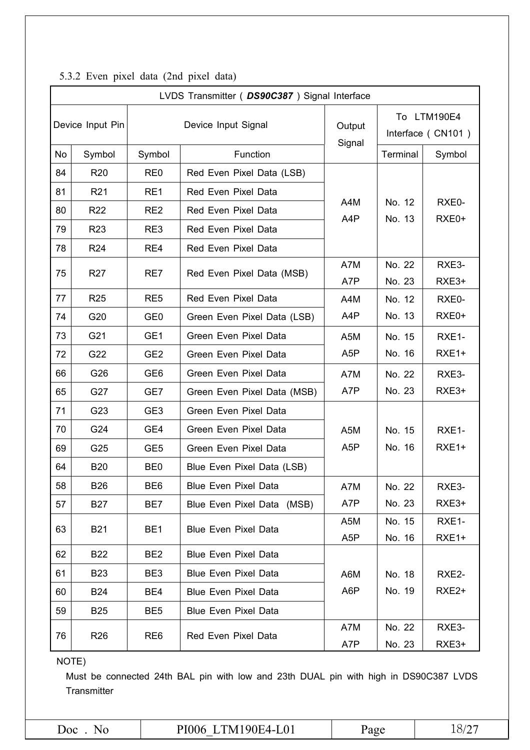## 5.3.2 Even pixel data (2nd pixel data)

|                       | LVDS Transmitter ( DS90C387 ) Signal Interface |                 |                             |                  |                                  |                   |  |  |  |  |  |
|-----------------------|------------------------------------------------|-----------------|-----------------------------|------------------|----------------------------------|-------------------|--|--|--|--|--|
|                       | Device Input Pin                               |                 | Device Input Signal         | Output<br>Signal | To LTM190E4<br>Interface (CN101) |                   |  |  |  |  |  |
| No                    | Symbol                                         | Symbol          | Function                    |                  | Terminal                         | Symbol            |  |  |  |  |  |
| 84                    | R <sub>20</sub>                                | RE <sub>0</sub> | Red Even Pixel Data (LSB)   |                  |                                  |                   |  |  |  |  |  |
| 81                    | R <sub>21</sub>                                | RE1             | Red Even Pixel Data         |                  |                                  |                   |  |  |  |  |  |
| 80                    | <b>R22</b>                                     | RE <sub>2</sub> | Red Even Pixel Data         | A4M<br>A4P       | No. 12<br>No. 13                 | RXE0-<br>RXE0+    |  |  |  |  |  |
| 79                    | R <sub>23</sub>                                | RE3             | Red Even Pixel Data         |                  |                                  |                   |  |  |  |  |  |
| 78                    | <b>R24</b>                                     | RE4             | Red Even Pixel Data         |                  |                                  |                   |  |  |  |  |  |
| 75                    | <b>R27</b>                                     | RE7             | Red Even Pixel Data (MSB)   | A7M              | No. 22                           | RXE3-             |  |  |  |  |  |
|                       |                                                |                 |                             | A7P              | No. 23                           | RXE3+             |  |  |  |  |  |
| 77                    | <b>R25</b>                                     | RE <sub>5</sub> | Red Even Pixel Data         | A4M              | No. 12                           | RXE0-             |  |  |  |  |  |
| 74                    | G20                                            | GE <sub>0</sub> | Green Even Pixel Data (LSB) | A4P              | No. 13                           | RXE0+             |  |  |  |  |  |
| 73                    | G21                                            | GE <sub>1</sub> | Green Even Pixel Data       | A <sub>5</sub> M | No. 15                           | RXE1-             |  |  |  |  |  |
| 72                    | G22                                            | GE <sub>2</sub> | Green Even Pixel Data       | A <sub>5</sub> P | No. 16                           | RXE1+             |  |  |  |  |  |
| 66                    | G26                                            | GE <sub>6</sub> | Green Even Pixel Data       | A7M              | No. 22                           | RXE3-             |  |  |  |  |  |
| 65                    | G27                                            | GE7             | Green Even Pixel Data (MSB) | A7P              | No. 23                           | RXE3+             |  |  |  |  |  |
| 71                    | G23                                            | GE <sub>3</sub> | Green Even Pixel Data       |                  |                                  |                   |  |  |  |  |  |
| 70                    | G24                                            | GE4             | Green Even Pixel Data       | A <sub>5</sub> M | No. 15                           | RXE1-             |  |  |  |  |  |
| 69                    | G25                                            | GE <sub>5</sub> | Green Even Pixel Data       | A <sub>5</sub> P | No. 16                           | RXE1+             |  |  |  |  |  |
| 64                    | <b>B20</b>                                     | BE <sub>0</sub> | Blue Even Pixel Data (LSB)  |                  |                                  |                   |  |  |  |  |  |
| 58                    | <b>B26</b>                                     | BE <sub>6</sub> | <b>Blue Even Pixel Data</b> | A7M              | No. 22                           | RXE3-             |  |  |  |  |  |
| 57                    | <b>B27</b>                                     | BE7             | Blue Even Pixel Data (MSB)  | A7P              | No. 23                           | RXE3+             |  |  |  |  |  |
| 63                    | <b>B21</b>                                     | BE <sub>1</sub> | <b>Blue Even Pixel Data</b> | A5M              | No. 15                           | RXE1-             |  |  |  |  |  |
|                       |                                                |                 |                             | A <sub>5</sub> P | No. 16                           | RXE1+             |  |  |  |  |  |
| 62                    | <b>B22</b>                                     | BE <sub>2</sub> | <b>Blue Even Pixel Data</b> |                  |                                  |                   |  |  |  |  |  |
| 61                    | <b>B23</b>                                     | BE3             | <b>Blue Even Pixel Data</b> | A6M              | No. 18                           | RXE2-             |  |  |  |  |  |
| 60                    | <b>B24</b>                                     | BE4             | <b>Blue Even Pixel Data</b> | A6P              | No. 19                           | RXE <sub>2+</sub> |  |  |  |  |  |
| 59                    | <b>B25</b>                                     | BE <sub>5</sub> | <b>Blue Even Pixel Data</b> |                  |                                  |                   |  |  |  |  |  |
| 76<br>R <sub>26</sub> |                                                | RE <sub>6</sub> | Red Even Pixel Data         | A7M              | No. 22                           | RXE3-             |  |  |  |  |  |
|                       |                                                |                 |                             | A7P              | No. 23                           | RXE3+             |  |  |  |  |  |

NOTE)

Must be connected 24th BAL pin with low and 23th DUAL pin with high in DS90C387 LVDS **Transmitter**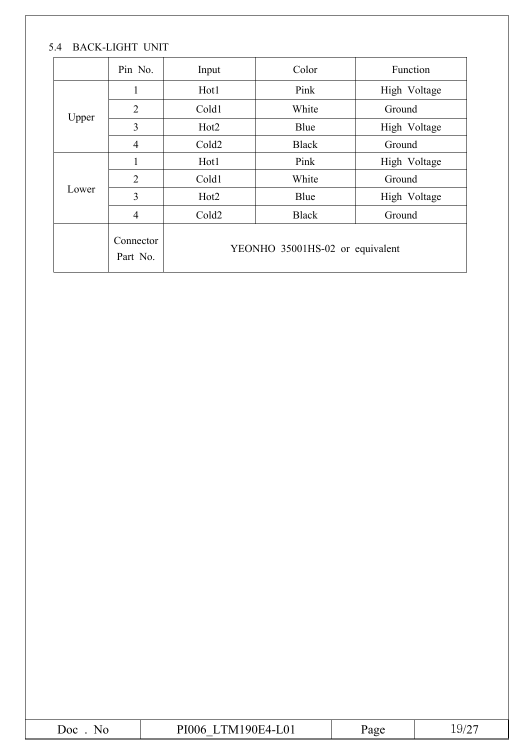### 5.4 BACK-LIGHT UNIT

|       | Pin No.                                                  | Input             | Color        | Function     |  |  |  |  |
|-------|----------------------------------------------------------|-------------------|--------------|--------------|--|--|--|--|
|       | 1                                                        | Hot1              | Pink         | High Voltage |  |  |  |  |
| Upper | $\overline{2}$                                           | Cold1             | White        | Ground       |  |  |  |  |
|       | 3                                                        | Hot <sub>2</sub>  | Blue         | High Voltage |  |  |  |  |
|       | 4                                                        | Cold <sub>2</sub> | <b>Black</b> | Ground       |  |  |  |  |
|       |                                                          | Hot1              | Pink         | High Voltage |  |  |  |  |
|       | $\overline{2}$                                           | Cold1             | White        | Ground       |  |  |  |  |
| Lower | 3                                                        | Hot <sub>2</sub>  | Blue         | High Voltage |  |  |  |  |
|       | $\overline{4}$                                           | Cold <sub>2</sub> | <b>Black</b> | Ground       |  |  |  |  |
|       | Connector<br>YEONHO 35001HS-02 or equivalent<br>Part No. |                   |              |              |  |  |  |  |

|  | Doc<br>N( | $\tau$ $\Omega$ 1<br>DІ<br>ONF<br>N'<br>'4-1<br>$U_{\rm A}$<br>______<br>_____<br>$\sim$ $\sim$ | ион<br>÷ | ◡<br>$\overline{\phantom{0}}$ |
|--|-----------|-------------------------------------------------------------------------------------------------|----------|-------------------------------|
|--|-----------|-------------------------------------------------------------------------------------------------|----------|-------------------------------|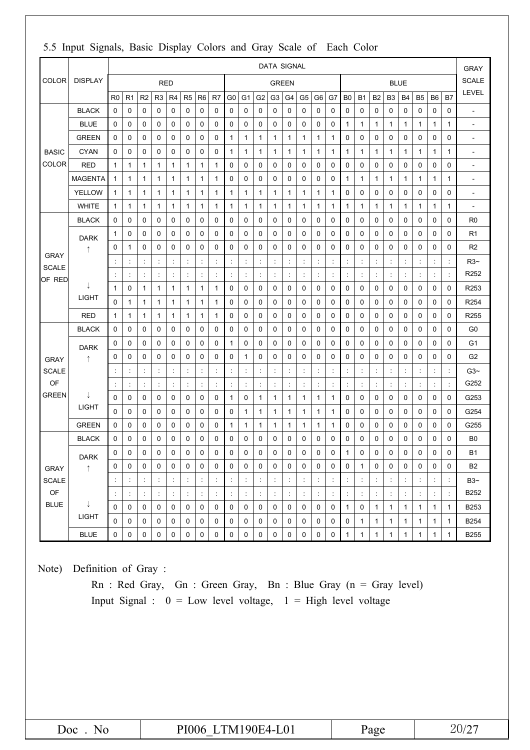|                             |                |                |                      |                |                      |                      |                      |                      |                      |                |                      |                      |                      | <b>DATA SIGNAL</b> |                      |                      |                      |                      |                      |                |                |                      |                      |                      |                | <b>GRAY</b>              |
|-----------------------------|----------------|----------------|----------------------|----------------|----------------------|----------------------|----------------------|----------------------|----------------------|----------------|----------------------|----------------------|----------------------|--------------------|----------------------|----------------------|----------------------|----------------------|----------------------|----------------|----------------|----------------------|----------------------|----------------------|----------------|--------------------------|
| <b>COLOR</b>                | <b>DISPLAY</b> |                |                      |                | <b>RED</b>           |                      |                      |                      |                      |                |                      |                      | <b>GREEN</b>         |                    |                      |                      |                      |                      |                      |                | <b>BLUE</b>    |                      |                      |                      |                | <b>SCALE</b>             |
|                             |                | R <sub>0</sub> | R <sub>1</sub>       | R <sub>2</sub> | R <sub>3</sub>       | R <sub>4</sub>       | R <sub>5</sub>       | R <sub>6</sub>       | R7                   | G <sub>0</sub> | G1                   | G <sub>2</sub>       | G3                   | G4                 | G5                   | G6                   | G7                   | B <sub>0</sub>       | <b>B1</b>            | B <sub>2</sub> | B <sub>3</sub> | B <sub>4</sub>       | B <sub>5</sub>       | B <sub>6</sub>       | B7             | LEVEL                    |
|                             | <b>BLACK</b>   | 0              | 0                    | 0              | 0                    | 0                    | 0                    | 0                    | 0                    | 0              | 0                    | 0                    | 0                    | 0                  | 0                    | 0                    | 0                    | 0                    | 0                    | 0              | 0              | 0                    | 0                    | 0                    | 0              | ÷,                       |
|                             | <b>BLUE</b>    | 0              | 0                    | 0              | 0                    | 0                    | 0                    | 0                    | 0                    | 0              | 0                    | 0                    | 0                    | 0                  | 0                    | 0                    | 0                    | 1                    | 1                    | 1              | 1              | $\mathbf{1}$         | 1                    | 1                    | 1              | L,                       |
|                             | <b>GREEN</b>   | 0              | 0                    | 0              | 0                    | 0                    | 0                    | 0                    | 0                    | 1              | 1                    | 1                    | $\mathbf{1}$         | 1                  | 1                    | 1                    | 1                    | 0                    | 0                    | 0              | 0              | 0                    | 0                    | 0                    | 0              | ÷,                       |
| <b>BASIC</b>                | <b>CYAN</b>    | 0              | 0                    | 0              | 0                    | 0                    | 0                    | 0                    | 0                    | 1              | $\mathbf{1}$         | 1                    | 1                    | 1                  | 1                    | 1                    | 1                    | 1                    | 1                    | 1              | 1              | 1                    | 1                    | 1                    | 1              | $\overline{\phantom{a}}$ |
| <b>COLOR</b>                | <b>RED</b>     | 1              | $\mathbf{1}$         | 1              | $\mathbf{1}$         | 1                    | 1                    | 1                    | 1                    | 0              | 0                    | 0                    | 0                    | 0                  | 0                    | 0                    | 0                    | 0                    | 0                    | 0              | 0              | 0                    | 0                    | 0                    | 0              | $\overline{a}$           |
|                             | <b>MAGENTA</b> | 1              | $\mathbf{1}$         | 1              | $\mathbf{1}$         | 1                    | 1                    | 1                    | 1                    | 0              | 0                    | 0                    | 0                    | 0                  | 0                    | 0                    | 0                    | 1                    | 1                    | 1              | 1              | 1                    | 1                    | $\mathbf{1}$         | 1              | $\overline{a}$           |
|                             | <b>YELLOW</b>  | 1              | $\mathbf{1}$         | 1              | $\mathbf{1}$         | 1                    | $\mathbf{1}$         | $\mathbf{1}$         | 1                    | 1              | $\mathbf{1}$         | 1                    | $\mathbf{1}$         | 1                  | 1                    | 1                    | 1                    | 0                    | $\mathbf 0$          | 0              | 0              | 0                    | 0                    | 0                    | 0              | ÷,                       |
|                             | <b>WHITE</b>   | 1              | $\mathbf{1}$         | 1              | 1                    | 1                    | 1                    | 1                    | 1                    | 1              | 1                    | 1                    | 1                    | 1                  | 1                    | 1                    | 1                    | 1                    | 1                    | 1              | 1              | $\mathbf{1}$         | 1                    | 1                    | 1              | $\overline{\phantom{a}}$ |
|                             | <b>BLACK</b>   | 0              | 0                    | 0              | 0                    | 0                    | 0                    | 0                    | 0                    | 0              | 0                    | 0                    | 0                    | 0                  | 0                    | 0                    | 0                    | 0                    | 0                    | 0              | 0              | 0                    | 0                    | 0                    | 0              | R0                       |
|                             | <b>DARK</b>    | 1              | 0                    | 0              | 0                    | 0                    | 0                    | 0                    | 0                    | 0              | 0                    | 0                    | 0                    | 0                  | 0                    | 0                    | 0                    | 0                    | 0                    | 0              | 0              | 0                    | 0                    | 0                    | 0              | R1                       |
|                             | ↑              | 0              | $\mathbf{1}$         | 0              | 0                    | 0                    | 0                    | 0                    | 0                    | 0              | 0                    | 0                    | 0                    | 0                  | 0                    | 0                    | 0                    | 0                    | 0                    | 0              | 0              | 0                    | 0                    | 0                    | 0              | R <sub>2</sub>           |
| <b>GRAY</b><br><b>SCALE</b> |                |                | $\ddot{\phantom{a}}$ |                |                      | ċ                    | t                    | $\ddot{\cdot}$       | ċ                    |                | $\ddot{\phantom{a}}$ | $\ddot{\cdot}$       | t                    | $\ddot{\cdot}$     | $\ddot{\phantom{a}}$ | $\ddot{\cdot}$       | $\ddot{\cdot}$       |                      | $\ddot{\phantom{a}}$ |                | t              | ċ                    | $\ddot{\cdot}$       | $\ddot{\cdot}$       | $\ddot{\cdot}$ | $R3-$                    |
| OF RED                      |                |                | ÷                    | ÷              | $\ddot{\phantom{a}}$ | ÷                    | ÷                    | ÷                    | ċ                    |                | ÷                    | ÷                    | ÷                    | ÷                  | ÷                    | $\ddot{\phantom{a}}$ | $\ddot{.}$           | ÷                    | $\ddot{\phantom{a}}$ | ÷              | ÷              | ÷                    | $\ddot{\phantom{a}}$ | ÷                    | $\ddot{\cdot}$ | R <sub>252</sub>         |
| J                           |                | 1              | 0                    | 1              | 1                    | 1                    | 1                    | 1                    | 1                    | 0              | 0                    | 0                    | 0                    | 0                  | 0                    | 0                    | 0                    | 0                    | 0                    | 0              | 0              | 0                    | 0                    | 0                    | 0              | R <sub>253</sub>         |
|                             | LIGHT          | $\mathbf 0$    | 1                    | 1              | $\mathbf{1}$         | 1                    | 1                    | $\mathbf{1}$         | 1                    | 0              | 0                    | 0                    | 0                    | 0                  | 0                    | 0                    | 0                    | 0                    | 0                    | 0              | 0              | 0                    | 0                    | 0                    | 0              | R <sub>254</sub>         |
|                             | <b>RED</b>     | 1              | $\mathbf{1}$         | 1              | 1                    | 1                    | $\mathbf{1}$         | 1                    | 1                    | 0              | $\mathbf 0$          | 0                    | 0                    | 0                  | 0                    | 0                    | 0                    | 0                    | $\mathbf 0$          | 0              | 0              | 0                    | 0                    | 0                    | 0              | R <sub>255</sub>         |
|                             | <b>BLACK</b>   | 0              | 0                    | 0              | 0                    | 0                    | 0                    | 0                    | 0                    | 0              | 0                    | 0                    | 0                    | 0                  | 0                    | 0                    | 0                    | 0                    | 0                    | 0              | 0              | 0                    | 0                    | 0                    | 0              | G0                       |
|                             | <b>DARK</b>    | 0              | 0                    | 0              | 0                    | 0                    | 0                    | 0                    | 0                    | 1              | 0                    | 0                    | 0                    | 0                  | 0                    | 0                    | 0                    | 0                    | 0                    | 0              | 0              | 0                    | 0                    | 0                    | 0              | G1                       |
| <b>GRAY</b>                 | 1              | 0              | 0                    | 0              | 0                    | 0                    | 0                    | 0                    | 0                    | 0              | 1                    | 0                    | 0                    | 0                  | 0                    | 0                    | 0                    | 0                    | 0                    | 0              | 0              | 0                    | 0                    | 0                    | 0              | G <sub>2</sub>           |
| <b>SCALE</b>                |                |                | $\ddot{\cdot}$       | ÷              | $\ddot{\cdot}$       | ċ                    | ÷                    | ÷                    | $\ddot{\cdot}$       |                | $\ddot{\cdot}$       | ÷                    | İ                    | $\ddot{\cdot}$     | $\ddot{\phantom{a}}$ | $\ddot{\cdot}$       | $\vdots$             |                      | $\ddot{\cdot}$       | ÷              | ÷              | $\ddot{\cdot}$       | $\ddot{\cdot}$       | $\ddot{\phantom{a}}$ | $\ddot{\cdot}$ | $G3-$                    |
| OF                          |                |                | t,                   |                | ÷                    | ċ                    | t                    | ÷                    | ċ                    |                | $\ddot{\phantom{a}}$ | ÷                    | $\ddot{\phantom{a}}$ | $\ddot{\cdot}$     | ÷                    | ÷                    | $\ddot{\cdot}$       |                      | $\ddot{\cdot}$       | ÷              | ÷              | ÷                    | ÷                    | $\ddot{\cdot}$       | $\ddot{\cdot}$ | G252                     |
| <b>GREEN</b>                | J              | 0              | 0                    | 0              | 0                    | 0                    | 0                    | 0                    | 0                    | 1              | 0                    | 1                    | 1                    | 1                  | 1                    | 1                    | 1                    | 0                    | 0                    | 0              | 0              | 0                    | 0                    | 0                    | 0              | G253                     |
|                             | LIGHT          | $\mathbf 0$    | 0                    | 0              | 0                    | 0                    | 0                    | 0                    | 0                    | 0              | $\mathbf{1}$         | 1                    | 1                    | 1                  | 1                    | 1                    | 1                    | 0                    | 0                    | 0              | 0              | 0                    | 0                    | 0                    | 0              | G254                     |
|                             | <b>GREEN</b>   | 0              | 0                    | 0              | 0                    | 0                    | 0                    | 0                    | 0                    | 1              | 1                    | 1                    | 1                    | 1                  | 1                    | 1                    | 1                    | 0                    | 0                    | 0              | 0              | 0                    | 0                    | 0                    | 0              | G255                     |
|                             | <b>BLACK</b>   | 0              | 0                    | 0              | 0                    | 0                    | 0                    | 0                    | 0                    | 0              | 0                    | 0                    | 0                    | 0                  | 0                    | 0                    | 0                    | 0                    | 0                    | 0              | 0              | 0                    | 0                    | 0                    | 0              | B <sub>0</sub>           |
|                             | <b>DARK</b>    | $\Omega$       | $\Omega$             | $\Omega$       | $\Omega$             | $\Omega$             | $\Omega$             | $\Omega$             | $\Omega$             | $\Omega$       | $\Omega$             | $\mathbf 0$          | $\mathbf 0$          | $\Omega$           | $\mathbf 0$          | 0                    | $\mathbf 0$          | 1                    | $\Omega$             | 0              | 0              | $\Omega$             | $\Omega$             | $\Omega$             | $\Omega$       | <b>B1</b>                |
| <b>GRAY</b>                 | $\uparrow$     | $\mathbf 0$    | 0                    | 0              | 0                    | 0                    | 0                    | $\pmb{0}$            | 0                    | 0              | 0                    | $\mathsf 0$          | 0                    | $\mathbf 0$        | 0                    | 0                    | $\mathbf 0$          | $\mathbf 0$          | $\mathbf{1}$         | 0              | 0              | $\mathbf 0$          | 0                    | 0                    | 0              | B2                       |
| <b>SCALE</b>                |                |                | $\ddot{\cdot}$       | $\ddot{\cdot}$ | t,                   | $\frac{1}{2}$        | Ť,                   | $\ddot{\cdot}$       | $\ddot{\cdot}$       | ċ              | $\frac{1}{2}$        | $\ddot{\phantom{a}}$ | t,                   | $\ddot{\cdot}$     | $\ddot{\cdot}$       | $\ddot{\cdot}$       | $\ddot{\cdot}$       | $\ddot{\phantom{a}}$ | $\frac{1}{2}$        | ÷              | ÷              | $\ddot{\phantom{a}}$ | $\ddot{\cdot}$       | $\ddot{\cdot}$       | ÷              | $B3-$                    |
| OF                          |                |                | $\ddot{\phantom{a}}$ | ÷              | ÷.                   | $\ddot{\phantom{a}}$ | $\ddot{\phantom{a}}$ | $\ddot{\phantom{a}}$ | $\ddot{\phantom{a}}$ | ÷              | $\ddot{\phantom{a}}$ | $\ddot{\phantom{a}}$ | ÷.                   | ÷                  | ÷                    | ÷.                   | $\ddot{\phantom{a}}$ | ÷                    | ÷                    | ÷              | ÷.             | $\ddot{\phantom{a}}$ | $\ddot{\phantom{a}}$ | $\ddot{\phantom{a}}$ | $\ddot{\cdot}$ | B252                     |
| <b>BLUE</b>                 | J              | 0              | 0                    | 0              | 0                    | 0                    | 0                    | 0                    | 0                    | 0              | 0                    | 0                    | 0                    | 0                  | 0                    | 0                    | 0                    | $\mathbf{1}$         | 0                    | $\mathbf{1}$   | $\mathbf{1}$   | $\mathbf{1}$         | $\mathbf{1}$         | $\mathbf{1}$         | $\mathbf{1}$   | B253                     |
|                             | LIGHT          | 0              | 0                    | 0              | 0                    | 0                    | 0                    | 0                    | 0                    | 0              | 0                    | $\mathbf 0$          | 0                    | 0                  | 0                    | 0                    | 0                    | 0                    | $\mathbf{1}$         | $\mathbf{1}$   | $\mathbf{1}$   | $\mathbf{1}$         | 1                    | $\mathbf{1}$         | $\mathbf{1}$   | <b>B254</b>              |
|                             | <b>BLUE</b>    | 0              | 0                    | $\mathbf 0$    | 0                    | 0                    | 0                    | $\pmb{0}$            | 0                    | 0              | 0                    | 0                    | 0                    | 0                  | 0                    | 0                    | 0                    | 1                    | $\mathbf{1}$         | $\mathbf{1}$   | $\mathbf{1}$   | $\mathbf{1}$         | $\mathbf{1}$         | $\mathbf{1}$         | $\mathbf{1}$   | B255                     |

#### 5.5 Input Signals, Basic Display Colors and Gray Scale of Each Color

Note) Definition of Gray :

Rn : Red Gray, Gn : Green Gray, Bn : Blue Gray (n = Gray level) Input Signal :  $0 = Low level voltage$ ,  $1 = High level voltage$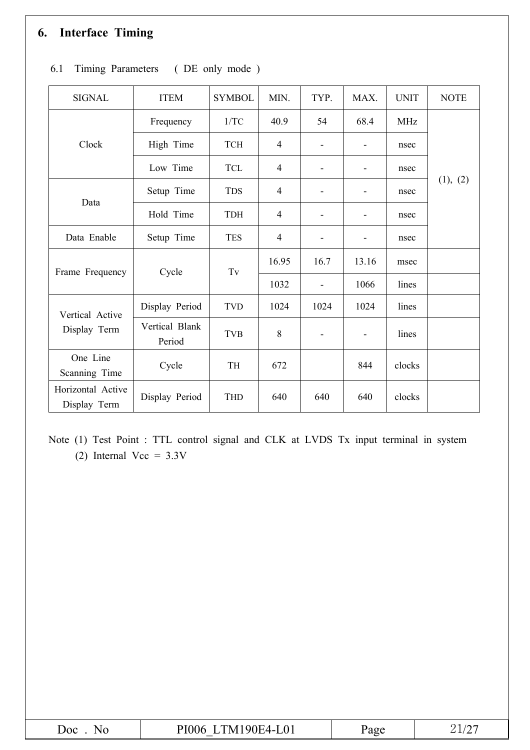# **6. Interface Timing**

| <b>SIGNAL</b>                     | <b>ITEM</b>              | <b>SYMBOL</b> | MIN.           | TYP.                     | MAX.                         | <b>UNIT</b> | <b>NOTE</b> |
|-----------------------------------|--------------------------|---------------|----------------|--------------------------|------------------------------|-------------|-------------|
|                                   | Frequency                | 1/TC          | 40.9           | 54                       | 68.4                         | <b>MHz</b>  |             |
| Clock                             | High Time                | <b>TCH</b>    | $\overline{4}$ |                          |                              | nsec        |             |
|                                   | Low Time                 | <b>TCL</b>    | $\overline{4}$ |                          |                              | nsec        |             |
|                                   | Setup Time               | <b>TDS</b>    | $\overline{4}$ | $\overline{\phantom{a}}$ | $\qquad \qquad \blacksquare$ | nsec        | (1), (2)    |
| Data                              | Hold Time                | <b>TDH</b>    | $\overline{4}$ |                          | ۰                            | nsec        |             |
| Data Enable                       | Setup Time               | <b>TES</b>    | $\overline{4}$ |                          |                              | nsec        |             |
|                                   |                          |               | 16.95          | 16.7                     | 13.16                        | msec        |             |
| Frame Frequency                   | Cycle                    | $T{\bf v}$    | 1032           | $\overline{\phantom{a}}$ | 1066                         | lines       |             |
| Vertical Active                   | Display Period           | <b>TVD</b>    | 1024           | 1024                     | 1024                         | lines       |             |
| Display Term                      | Vertical Blank<br>Period | <b>TVB</b>    | 8              | $\overline{\phantom{a}}$ | $\overline{\phantom{0}}$     | lines       |             |
| One Line<br>Scanning Time         | Cycle                    | TH            | 672            |                          | 844                          | clocks      |             |
| Horizontal Active<br>Display Term | Display Period           | THD           | 640            | 640                      | 640                          | clocks      |             |

#### 6.1 Timing Parameters ( DE only mode )

Note (1) Test Point : TTL control signal and CLK at LVDS Tx input terminal in system (2) Internal Vcc =  $3.3V$ 

| Doc<br>NC | LTM190E4-L01<br>PI006 | Page |  |
|-----------|-----------------------|------|--|
|-----------|-----------------------|------|--|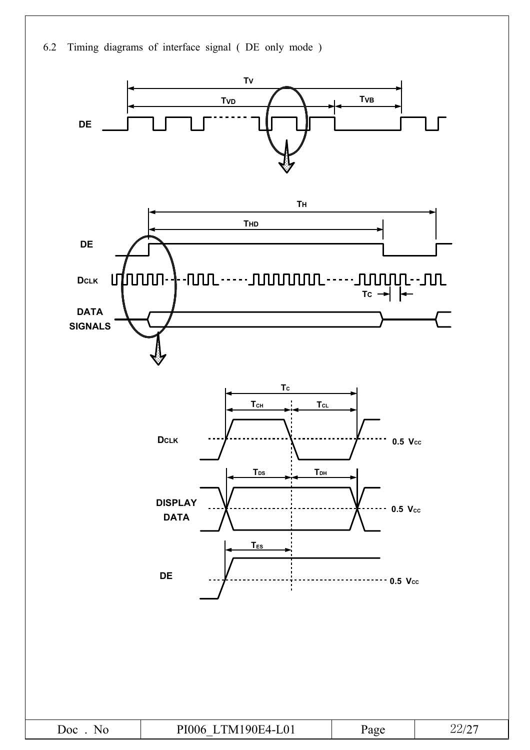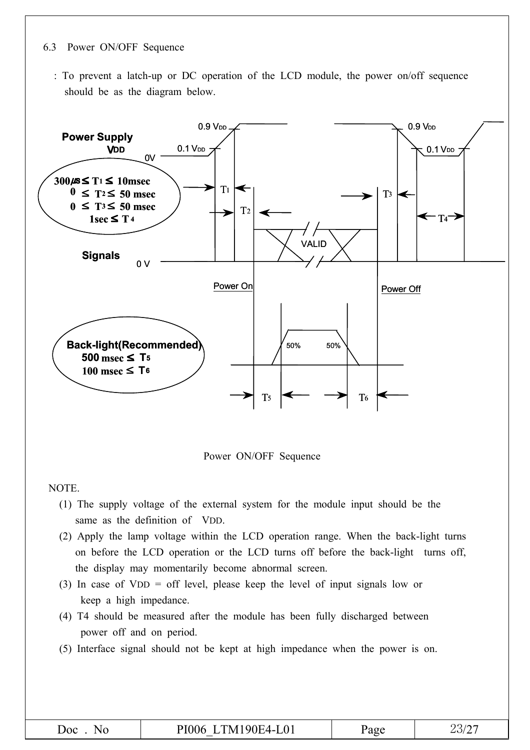#### 6.3 Power ON/OFF Sequence

: To prevent a latch-up or DC operation of the LCD module, the power on/off sequence should be as the diagram below.



Power ON/OFF Sequence

NOTE.

- (1) The supply voltage of the external system for the module input should be the same as the definition of VDD.
- (2) Apply the lamp voltage within the LCD operation range. When the back-light turns on before the LCD operation or the LCD turns off before the back-light turns off, the display may momentarily become abnormal screen.
- (3) In case of VDD = off level, please keep the level of input signals low or keep a high impedance.
- (4) T4 should be measured after the module has been fully discharged between power off and on period.
- (5) Interface signal should not be kept at high impedance when the power is on.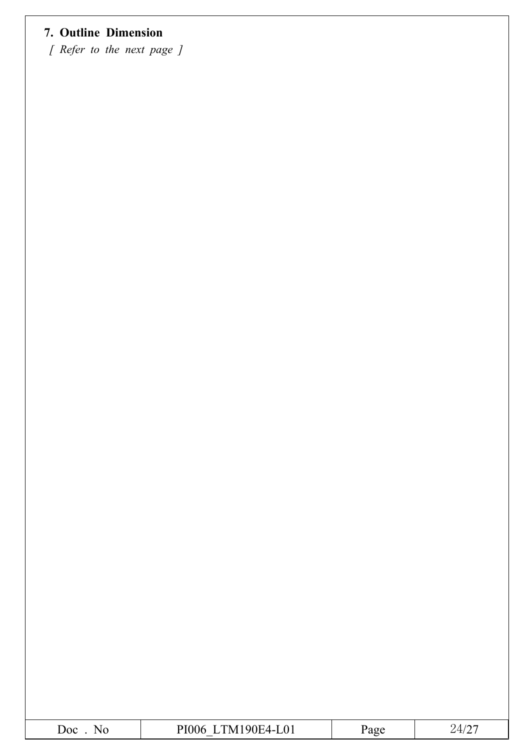# **7. Outline Dimension**

*[ Refer to the next page ]*

| Doc | $-L01$<br>N/I<br>21 – | age | ∸ |
|-----|-----------------------|-----|---|
|     |                       |     |   |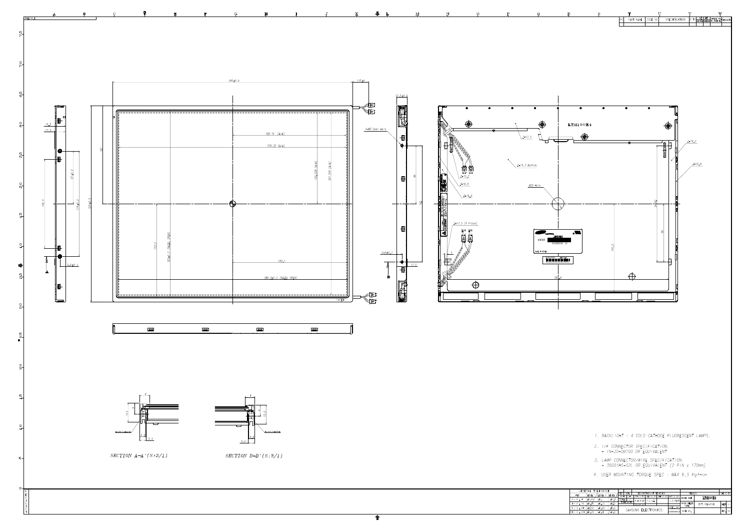

 $\overline{\textbf{f}}$ 

|                      |            |                                 |       |                     |                                           | <b>DE SUNTETION OF BEVISIVAL</b> |          |          | <b>NEWWW</b>              |              | <b>UTO U BI</b> |  |
|----------------------|------------|---------------------------------|-------|---------------------|-------------------------------------------|----------------------------------|----------|----------|---------------------------|--------------|-----------------|--|
| <b>STEP</b>          |            | <b>ILEVEL 1/LEVEL 2 LEVEL 3</b> |       | UNIT                | DRA'N BY DES'D BY CHK'D BY APP'D BY<br>mm |                                  |          |          |                           | LTM190E4     |                 |  |
| $0 \leq X \leq 4$    | ±0.05/     | ±0.1                            | ±0.2' | SCALE               | K, M, K/M                                 | Y.J.LEE                          |          | J.D.PARK | <b>MODEL NAME</b>         |              |                 |  |
| $4 \times X \leq 16$ | ±0.08      | ±0.15                           | ±0/3  | <b>TOLERANCE</b>    | 03.04.21                                  |                                  |          |          | PART/SHEET<br><b>NAME</b> | OUTLINE-DIM. | SHEET 1/1       |  |
| 16 < X ≤ 64          | $±0'$ . 12 | ±0.25                           | ≰0.5  | SAMSUNG ELECTRONICS |                                           |                                  | SPEC, NO |          |                           |              |                 |  |
| 64 < X ≤ 256 40.25   |            | ±0.4                            | 10.8  |                     |                                           | spsccooo-cccl                    | CODE NO. |          | <b>VER.</b> 00            |              |                 |  |
|                      |            |                                 |       |                     |                                           |                                  |          |          |                           |              |                 |  |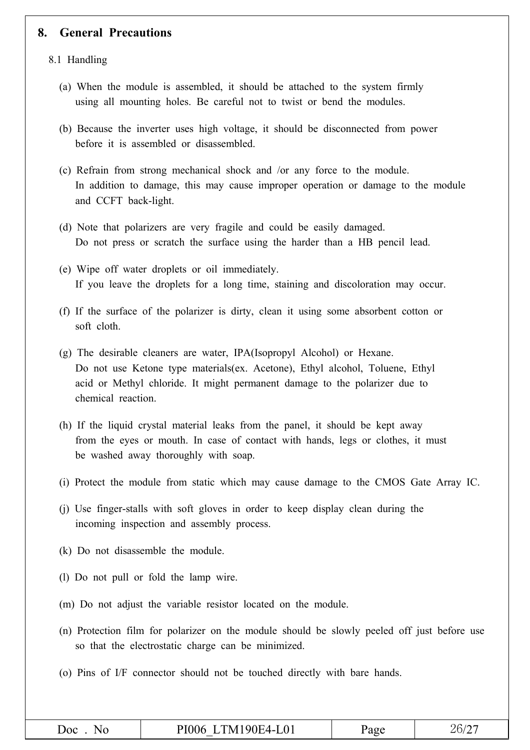#### **8. General Precautions**

#### 8.1 Handling

- (a) When the module is assembled, it should be attached to the system firmly using all mounting holes. Be careful not to twist or bend the modules.
- (b) Because the inverter uses high voltage, it should be disconnected from power before it is assembled or disassembled.
- (c) Refrain from strong mechanical shock and /or any force to the module. In addition to damage, this may cause improper operation or damage to the module and CCFT back-light.
- (d) Note that polarizers are very fragile and could be easily damaged. Do not press or scratch the surface using the harder than a HB pencil lead.
- (e) Wipe off water droplets or oil immediately. If you leave the droplets for a long time, staining and discoloration may occur.
- (f) If the surface of the polarizer is dirty, clean it using some absorbent cotton or soft cloth.
- (g) The desirable cleaners are water, IPA(Isopropyl Alcohol) or Hexane. Do not use Ketone type materials(ex. Acetone), Ethyl alcohol, Toluene, Ethyl acid or Methyl chloride. It might permanent damage to the polarizer due to chemical reaction.
- (h) If the liquid crystal material leaks from the panel, it should be kept away from the eyes or mouth. In case of contact with hands, legs or clothes, it must be washed away thoroughly with soap.
- (i) Protect the module from static which may cause damage to the CMOS Gate Array IC.
- (j) Use finger-stalls with soft gloves in order to keep display clean during the incoming inspection and assembly process.
- (k) Do not disassemble the module.
- (l) Do not pull or fold the lamp wire.
- (m) Do not adjust the variable resistor located on the module.
- (n) Protection film for polarizer on the module should be slowly peeled off just before use so that the electrostatic charge can be minimized.
- (o) Pins of I/F connector should not be touched directly with bare hands.

| Doc<br>NΟ | PI006 LTM190E4-L01 | Page | $v_{h}$ . |
|-----------|--------------------|------|-----------|
|-----------|--------------------|------|-----------|